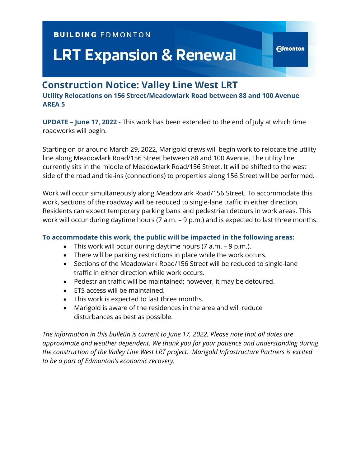**BUILDING EDMONTON** 

# **LRT Expansion & Renewal**

# **Construction Notice: Valley Line West LRT**

**Utility Relocations on 156 Street/Meadowlark Road between 88 and 100 Avenue AREA 5**

**Edmonton** 

**UPDATE – June 17, 2022 -** This work has been extended to the end of July at which time roadworks will begin.

Starting on or around March 29, 2022, Marigold crews will begin work to relocate the utility line along Meadowlark Road/156 Street between 88 and 100 Avenue. The utility line currently sits in the middle of Meadowlark Road/156 Street. It will be shifted to the west side of the road and tie-ins (connections) to properties along 156 Street will be performed.

Work will occur simultaneously along Meadowlark Road/156 Street. To accommodate this work, sections of the roadway will be reduced to single-lane traffic in either direction. Residents can expect temporary parking bans and pedestrian detours in work areas. This work will occur during daytime hours (7 a.m. – 9 p.m.) and is expected to last three months.

### **To accommodate this work, the public will be impacted in the following areas:**

- This work will occur during daytime hours  $(7 a.m. 9 p.m.).$
- There will be parking restrictions in place while the work occurs.
- Sections of the Meadowlark Road/156 Street will be reduced to single-lane traffic in either direction while work occurs.
- Pedestrian traffic will be maintained; however, it may be detoured.
- ETS access will be maintained.
- This work is expected to last three months.
- Marigold is aware of the residences in the area and will reduce disturbances as best as possible.

*The information in this bulletin is current to June 17, 2022. Please note that all dates are approximate and weather dependent. We thank you for your patience and understanding during the construction of the Valley Line West LRT project. Marigold Infrastructure Partners is excited to be a part of Edmonton's economic recovery.*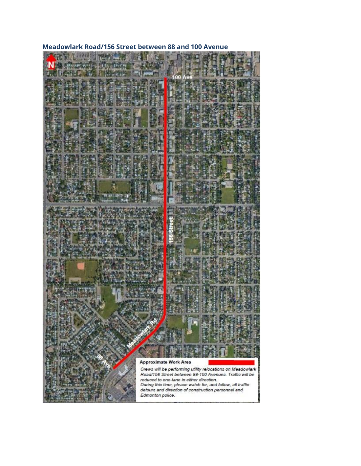

#### **Meadowlark Road/156 Street between 88 and 100 Avenue**